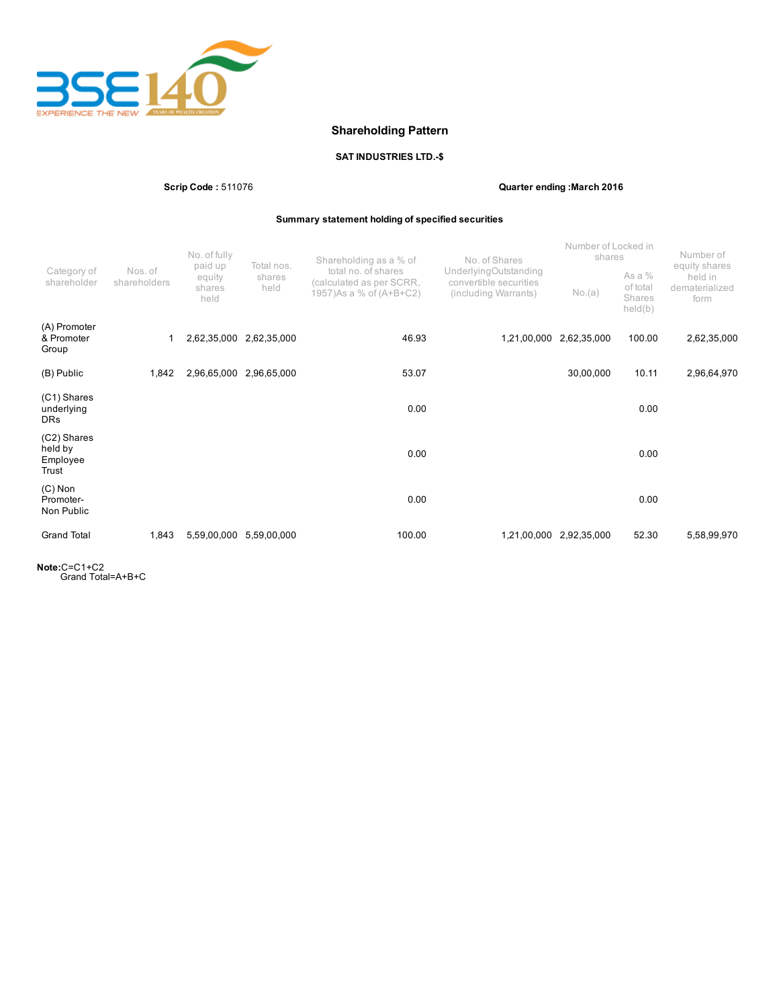

# Shareholding Pattern

## SAT INDUSTRIES LTD.-\$

Scrip Code : 511076 Quarter ending :March 2016

## Summary statement holding of specified securities

|                                             | Nos. of<br>shareholders | No. of fully<br>paid up<br>equity<br>shares<br>held | Total nos.<br>shares<br>held | Shareholding as a % of<br>total no. of shares<br>(calculated as per SCRR,<br>1957) As a % of (A+B+C2) | No. of Shares<br>UnderlyingOutstanding<br>convertible securities<br>(including Warrants) | Number of Locked in<br>shares |                                           | Number of                                          |
|---------------------------------------------|-------------------------|-----------------------------------------------------|------------------------------|-------------------------------------------------------------------------------------------------------|------------------------------------------------------------------------------------------|-------------------------------|-------------------------------------------|----------------------------------------------------|
| Category of<br>shareholder                  |                         |                                                     |                              |                                                                                                       |                                                                                          | No.(a)                        | As a $%$<br>of total<br>Shares<br>held(b) | equity shares<br>held in<br>dematerialized<br>form |
| (A) Promoter<br>& Promoter<br>Group         |                         | 2,62,35,000                                         | 2,62,35,000                  | 46.93                                                                                                 | 1,21,00,000                                                                              | 2,62,35,000                   | 100.00                                    | 2,62,35,000                                        |
| (B) Public                                  | 1,842                   | 2,96,65,000                                         | 2,96,65,000                  | 53.07                                                                                                 |                                                                                          | 30,00,000                     | 10.11                                     | 2,96,64,970                                        |
| (C1) Shares<br>underlying<br><b>DRs</b>     |                         |                                                     |                              | 0.00                                                                                                  |                                                                                          |                               | 0.00                                      |                                                    |
| (C2) Shares<br>held by<br>Employee<br>Trust |                         |                                                     |                              | 0.00                                                                                                  |                                                                                          |                               | 0.00                                      |                                                    |
| $(C)$ Non<br>Promoter-<br>Non Public        |                         |                                                     |                              | 0.00                                                                                                  |                                                                                          |                               | 0.00                                      |                                                    |
| <b>Grand Total</b>                          | 1,843                   | 5,59,00,000                                         | 5,59,00,000                  | 100.00                                                                                                | 1,21,00,000                                                                              | 2,92,35,000                   | 52.30                                     | 5,58,99,970                                        |

Note:C=C1+C2 Grand Total=A+B+C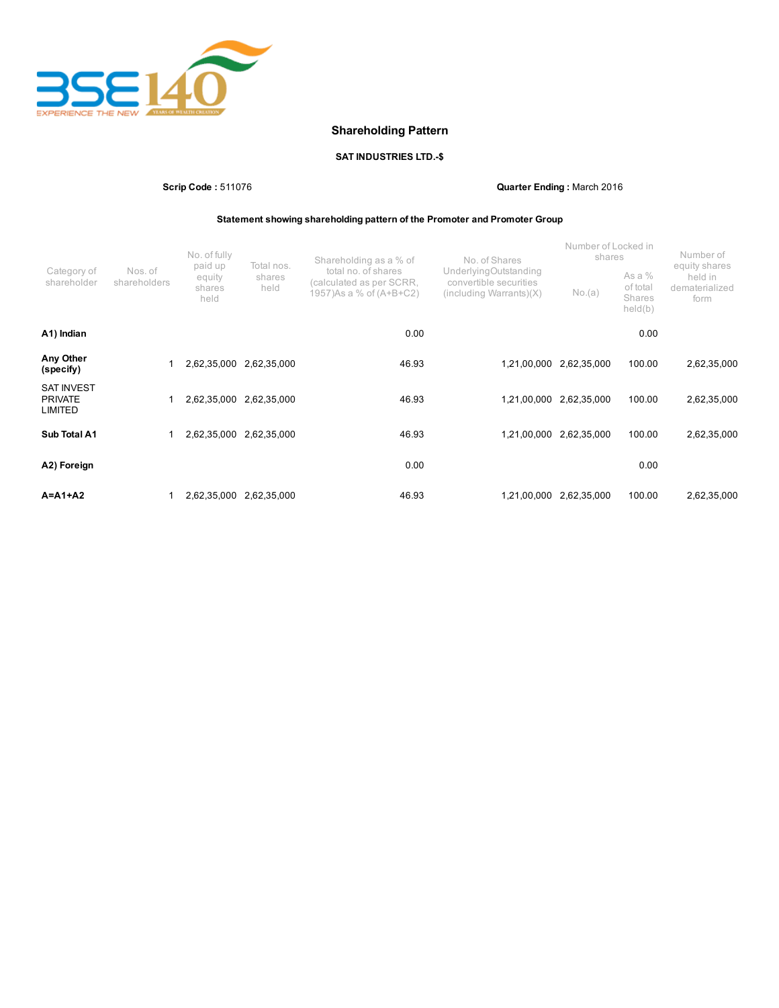

# Shareholding Pattern

## SAT INDUSTRIES LTD.-\$

Scrip Code : 511076 Quarter Ending : March 2016

## Statement showing shareholding pattern of the Promoter and Promoter Group

| Category of<br>shareholder                     | Nos. of<br>shareholders | No. of fully<br>paid up<br>equity<br>shares<br>held | Total nos.<br>shares<br>held | Shareholding as a % of<br>total no. of shares<br>(calculated as per SCRR,<br>1957) As a % of (A+B+C2) | No. of Shares<br>UnderlyingOutstanding<br>convertible securities<br>$(including \, \text{Warrants})(X)$ | Number of Locked in<br>shares<br>No.(a) | As a %<br>of total<br>Shares<br>held(b) | Number of<br>equity shares<br>held in<br>dematerialized<br>form |
|------------------------------------------------|-------------------------|-----------------------------------------------------|------------------------------|-------------------------------------------------------------------------------------------------------|---------------------------------------------------------------------------------------------------------|-----------------------------------------|-----------------------------------------|-----------------------------------------------------------------|
| A1) Indian                                     |                         |                                                     |                              | 0.00                                                                                                  |                                                                                                         |                                         | 0.00                                    |                                                                 |
| Any Other<br>(specify)                         |                         |                                                     | 2,62,35,000 2,62,35,000      | 46.93                                                                                                 | 1,21,00,000                                                                                             | 2,62,35,000                             | 100.00                                  | 2,62,35,000                                                     |
| <b>SAT INVEST</b><br><b>PRIVATE</b><br>LIMITED |                         | 2,62,35,000                                         | 2,62,35,000                  | 46.93                                                                                                 | 1,21,00,000                                                                                             | 2,62,35,000                             | 100.00                                  | 2,62,35,000                                                     |
| Sub Total A1                                   |                         | 2,62,35,000                                         | 2,62,35,000                  | 46.93                                                                                                 | 1,21,00,000                                                                                             | 2,62,35,000                             | 100.00                                  | 2,62,35,000                                                     |
| A2) Foreign                                    |                         |                                                     |                              | 0.00                                                                                                  |                                                                                                         |                                         | 0.00                                    |                                                                 |
| $A = A1 + A2$                                  |                         | 2,62,35,000                                         | 2,62,35,000                  | 46.93                                                                                                 | 1,21,00,000                                                                                             | 2,62,35,000                             | 100.00                                  | 2,62,35,000                                                     |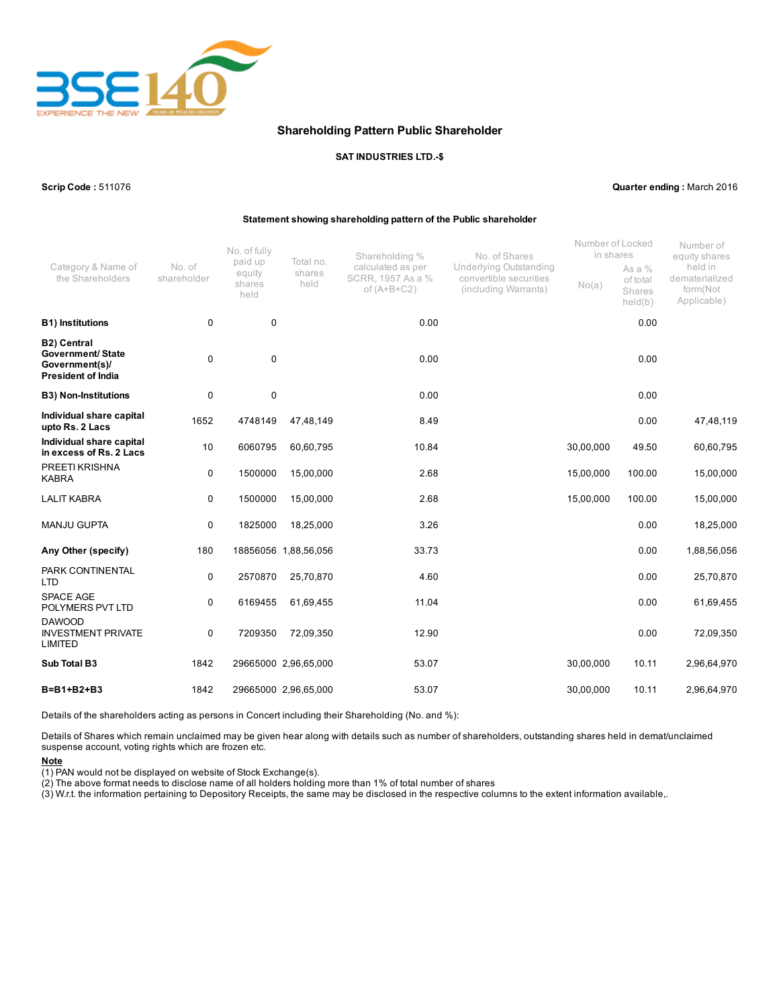

### Shareholding Pattern Public Shareholder

#### SAT INDUSTRIES LTD.\$

Scrip Code : 511076 Quarter ending : March 2016

#### Statement showing shareholding pattern of the Public shareholder

|                                                                                               | No. of<br>shareholder | No. of fully<br>paid up<br>equity<br>shares<br>held | Total no.<br>shares<br>held | Shareholding %<br>calculated as per<br>SCRR, 1957 As a %<br>of $(A+B+C2)$ | No. of Shares<br><b>Underlying Outstanding</b><br>convertible securities<br>(including Warrants) | Number of Locked<br>in shares |                                           | Number of<br>equity shares                           |
|-----------------------------------------------------------------------------------------------|-----------------------|-----------------------------------------------------|-----------------------------|---------------------------------------------------------------------------|--------------------------------------------------------------------------------------------------|-------------------------------|-------------------------------------------|------------------------------------------------------|
| Category & Name of<br>the Shareholders                                                        |                       |                                                     |                             |                                                                           |                                                                                                  | No(a)                         | As a $%$<br>of total<br>Shares<br>held(b) | held in<br>dematerialized<br>form(Not<br>Applicable) |
| <b>B1) Institutions</b>                                                                       | 0                     | 0                                                   |                             | 0.00                                                                      |                                                                                                  |                               | 0.00                                      |                                                      |
| <b>B2) Central</b><br><b>Government/ State</b><br>Government(s)/<br><b>President of India</b> | 0                     | 0                                                   |                             | 0.00                                                                      |                                                                                                  |                               | 0.00                                      |                                                      |
| <b>B3) Non-Institutions</b>                                                                   | 0                     | 0                                                   |                             | 0.00                                                                      |                                                                                                  |                               | 0.00                                      |                                                      |
| Individual share capital<br>upto Rs. 2 Lacs                                                   | 1652                  | 4748149                                             | 47,48,149                   | 8.49                                                                      |                                                                                                  |                               | 0.00                                      | 47,48,119                                            |
| Individual share capital<br>in excess of Rs. 2 Lacs                                           | 10                    | 6060795                                             | 60,60,795                   | 10.84                                                                     |                                                                                                  | 30,00,000                     | 49.50                                     | 60,60,795                                            |
| PREETI KRISHNA<br><b>KABRA</b>                                                                | 0                     | 1500000                                             | 15,00,000                   | 2.68                                                                      |                                                                                                  | 15,00,000                     | 100.00                                    | 15,00,000                                            |
| <b>LALIT KABRA</b>                                                                            | 0                     | 1500000                                             | 15,00,000                   | 2.68                                                                      |                                                                                                  | 15,00,000                     | 100.00                                    | 15,00,000                                            |
| <b>MANJU GUPTA</b>                                                                            | 0                     | 1825000                                             | 18,25,000                   | 3.26                                                                      |                                                                                                  |                               | 0.00                                      | 18,25,000                                            |
| Any Other (specify)                                                                           | 180                   |                                                     | 18856056 1,88,56,056        | 33.73                                                                     |                                                                                                  |                               | 0.00                                      | 1,88,56,056                                          |
| PARK CONTINENTAL<br><b>LTD</b>                                                                | 0                     | 2570870                                             | 25,70,870                   | 4.60                                                                      |                                                                                                  |                               | 0.00                                      | 25,70,870                                            |
| <b>SPACE AGE</b><br>POLYMERS PVT LTD                                                          | 0                     | 6169455                                             | 61,69,455                   | 11.04                                                                     |                                                                                                  |                               | 0.00                                      | 61,69,455                                            |
| <b>DAWOOD</b><br><b>INVESTMENT PRIVATE</b><br><b>LIMITED</b>                                  | 0                     | 7209350                                             | 72,09,350                   | 12.90                                                                     |                                                                                                  |                               | 0.00                                      | 72,09,350                                            |
| Sub Total B3                                                                                  | 1842                  |                                                     | 29665000 2,96,65,000        | 53.07                                                                     |                                                                                                  | 30,00,000                     | 10.11                                     | 2,96,64,970                                          |
| B=B1+B2+B3                                                                                    | 1842                  |                                                     | 29665000 2,96,65,000        | 53.07                                                                     |                                                                                                  | 30,00,000                     | 10.11                                     | 2,96,64,970                                          |

Details of the shareholders acting as persons in Concert including their Shareholding (No. and %):

Details of Shares which remain unclaimed may be given hear along with details such as number of shareholders, outstanding shares held in demat/unclaimed suspense account, voting rights which are frozen etc.

Note

(1) PAN would not be displayed on website of Stock Exchange(s).

(2) The above format needs to disclose name of all holders holding more than 1% of total number of shares

(3) W.r.t. the information pertaining to Depository Receipts, the same may be disclosed in the respective columns to the extent information available,.